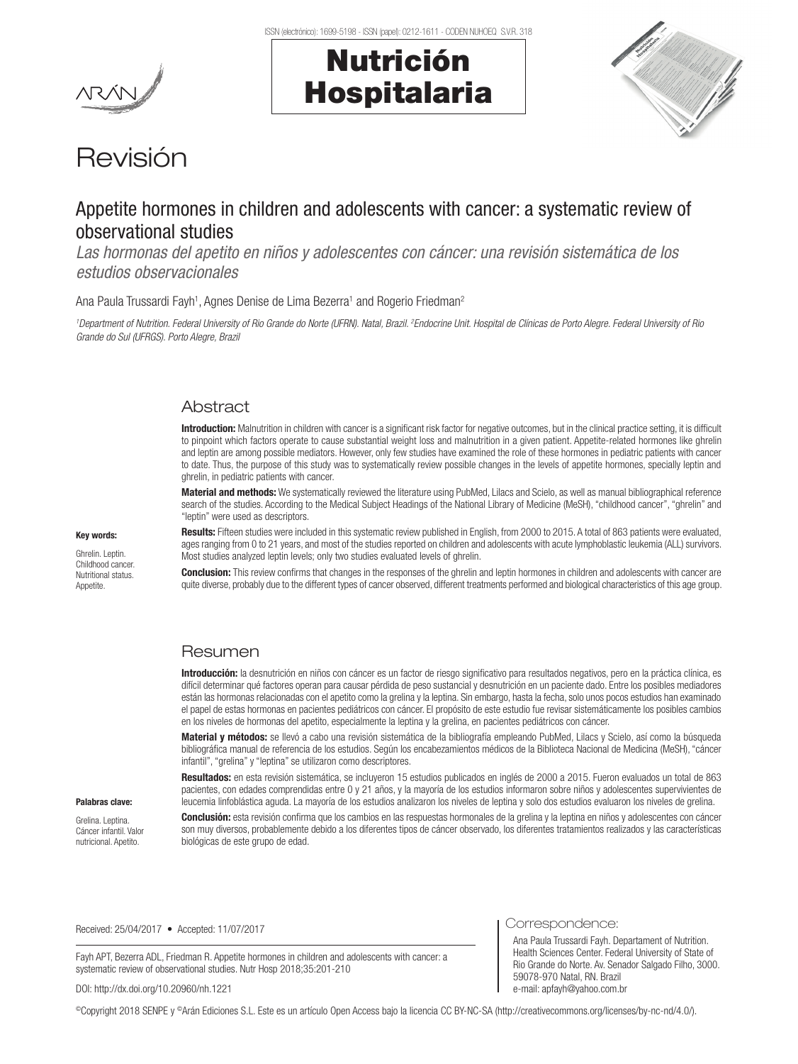



# Revisión

# Appetite hormones in children and adolescents with cancer: a systematic review of observational studies

*Las hormonas del apetito en niños y adolescentes con cáncer: una revisión sistemática de los estudios observacionales*

Ana Paula Trussardi Fayh<sup>1</sup>, Agnes Denise de Lima Bezerra<sup>1</sup> and Rogerio Friedman<sup>2</sup>

*1 Department of Nutrition. Federal University of Rio Grande do Norte (UFRN). Natal, Brazil. 2 Endocrine Unit. Hospital de Clínicas de Porto Alegre. Federal University of Rio Grande do Sul (UFRGS). Porto Alegre, Brazil*

# **Abstract**

Introduction: Malnutrition in children with cancer is a significant risk factor for negative outcomes, but in the clinical practice setting, it is difficult to pinpoint which factors operate to cause substantial weight loss and malnutrition in a given patient. Appetite-related hormones like ghrelin and leptin are among possible mediators. However, only few studies have examined the role of these hormones in pediatric patients with cancer to date. Thus, the purpose of this study was to systematically review possible changes in the levels of appetite hormones, specially leptin and ghrelin, in pediatric patients with cancer.

Material and methods: We systematically reviewed the literature using PubMed, Lilacs and Scielo, as well as manual bibliographical reference search of the studies. According to the Medical Subject Headings of the National Library of Medicine (MeSH), "childhood cancer", "ghrelin" and "leptin" were used as descriptors.

#### Key words:

Ghrelin. Leptin. Childhood cancer. Nutritional status. Appetite.

Results: Fifteen studies were included in this systematic review published in English, from 2000 to 2015. A total of 863 patients were evaluated, ages ranging from 0 to 21 years, and most of the studies reported on children and adolescents with acute lymphoblastic leukemia (ALL) survivors. Most studies analyzed leptin levels; only two studies evaluated levels of ghrelin.

**Conclusion:** This review confirms that changes in the responses of the ghrelin and leptin hormones in children and adolescents with cancer are quite diverse, probably due to the different types of cancer observed, different treatments performed and biological characteristics of this age group.

# Resumen

Introducción: la desnutrición en niños con cáncer es un factor de riesgo significativo para resultados negativos, pero en la práctica clínica, es difícil determinar qué factores operan para causar pérdida de peso sustancial y desnutrición en un paciente dado. Entre los posibles mediadores están las hormonas relacionadas con el apetito como la grelina y la leptina. Sin embargo, hasta la fecha, solo unos pocos estudios han examinado el papel de estas hormonas en pacientes pediátricos con cáncer. El propósito de este estudio fue revisar sistemáticamente los posibles cambios en los niveles de hormonas del apetito, especialmente la leptina y la grelina, en pacientes pediátricos con cáncer.

Material y métodos: se llevó a cabo una revisión sistemática de la bibliografía empleando PubMed, Lilacs y Scielo, así como la búsqueda bibliográfica manual de referencia de los estudios. Según los encabezamientos médicos de la Biblioteca Nacional de Medicina (MeSH), "cáncer infantil", "grelina" y "leptina" se utilizaron como descriptores.

Resultados: en esta revisión sistemática, se incluyeron 15 estudios publicados en inglés de 2000 a 2015. Fueron evaluados un total de 863 pacientes, con edades comprendidas entre 0 y 21 años, y la mayoría de los estudios informaron sobre niños y adolescentes supervivientes de leucemia linfoblástica aguda. La mayoría de los estudios analizaron los niveles de leptina y solo dos estudios evaluaron los niveles de grelina.

Palabras clave:

Grelina. Leptina. Cáncer infantil. Valor nutricional. Apetito.

Conclusión: esta revisión confirma que los cambios en las respuestas hormonales de la grelina y la leptina en niños y adolescentes con cáncer son muy diversos, probablemente debido a los diferentes tipos de cáncer observado, los diferentes tratamientos realizados y las características biológicas de este grupo de edad.

Received: 25/04/2017 • Accepted: 11/07/2017

Fayh APT, Bezerra ADL, Friedman R. Appetite hormones in children and adolescents with cancer: a systematic review of observational studies. Nutr Hosp 2018;35:201-210

DOI: http://dx.doi.org/10.20960/nh.1221

©Copyright 2018 SENPE y ©Arán Ediciones S.L. Este es un artículo Open Access bajo la licencia CC BY-NC-SA (http://creativecommons.org/licenses/by-nc-nd/4.0/).

Correspondence:

Ana Paula Trussardi Fayh. Departament of Nutrition. Health Sciences Center. Federal University of State of Rio Grande do Norte. Av. Senador Salgado Filho, 3000. 59078-970 Natal, RN. Brazil e-mail: apfayh@yahoo.com.br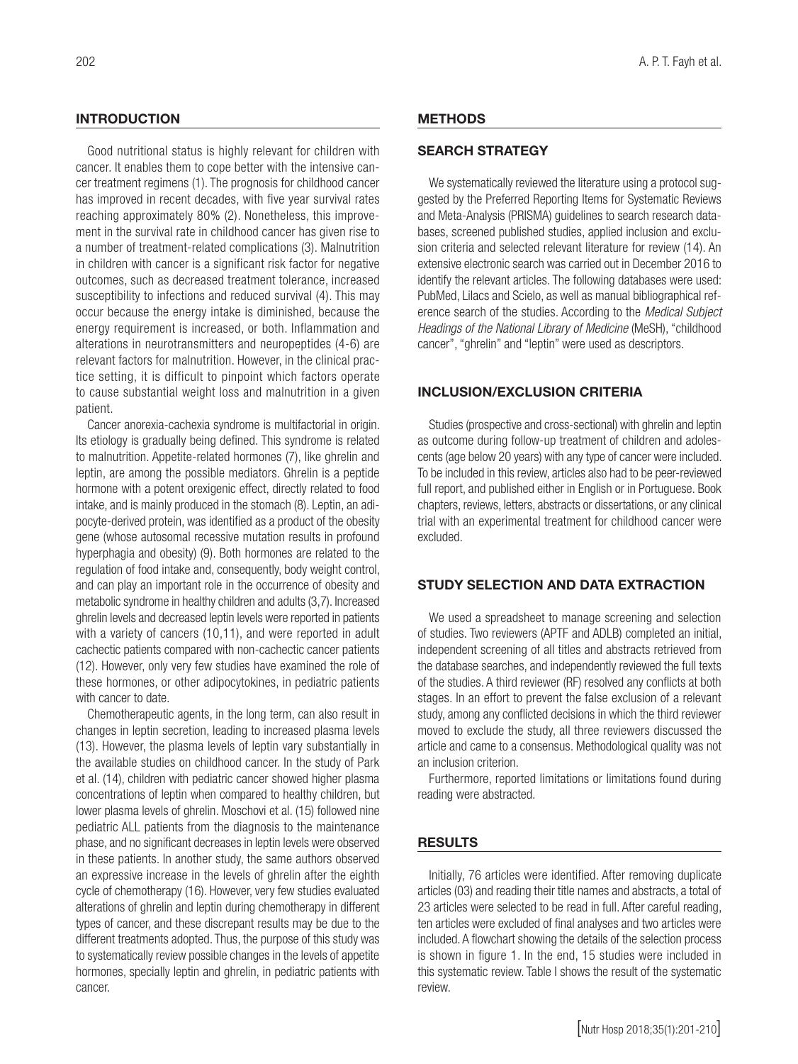# **INTRODUCTION**

Good nutritional status is highly relevant for children with cancer. It enables them to cope better with the intensive cancer treatment regimens (1). The prognosis for childhood cancer has improved in recent decades, with five year survival rates reaching approximately 80% (2). Nonetheless, this improvement in the survival rate in childhood cancer has given rise to a number of treatment-related complications (3). Malnutrition in children with cancer is a significant risk factor for negative outcomes, such as decreased treatment tolerance, increased susceptibility to infections and reduced survival (4). This may occur because the energy intake is diminished, because the energy requirement is increased, or both. Inflammation and alterations in neurotransmitters and neuropeptides (4-6) are relevant factors for malnutrition. However, in the clinical practice setting, it is difficult to pinpoint which factors operate to cause substantial weight loss and malnutrition in a given patient.

Cancer anorexia-cachexia syndrome is multifactorial in origin. Its etiology is gradually being defined. This syndrome is related to malnutrition. Appetite-related hormones (7), like ghrelin and leptin, are among the possible mediators. Ghrelin is a peptide hormone with a potent orexigenic effect, directly related to food intake, and is mainly produced in the stomach (8). Leptin, an adipocyte-derived protein, was identified as a product of the obesity gene (whose autosomal recessive mutation results in profound hyperphagia and obesity) (9). Both hormones are related to the regulation of food intake and, consequently, body weight control, and can play an important role in the occurrence of obesity and metabolic syndrome in healthy children and adults (3,7). Increased ghrelin levels and decreased leptin levels were reported in patients with a variety of cancers (10,11), and were reported in adult cachectic patients compared with non-cachectic cancer patients (12). However, only very few studies have examined the role of these hormones, or other adipocytokines, in pediatric patients with cancer to date.

Chemotherapeutic agents, in the long term, can also result in changes in leptin secretion, leading to increased plasma levels (13). However, the plasma levels of leptin vary substantially in the available studies on childhood cancer. In the study of Park et al. (14), children with pediatric cancer showed higher plasma concentrations of leptin when compared to healthy children, but lower plasma levels of ghrelin. Moschovi et al. (15) followed nine pediatric ALL patients from the diagnosis to the maintenance phase, and no significant decreases in leptin levels were observed in these patients. In another study, the same authors observed an expressive increase in the levels of ghrelin after the eighth cycle of chemotherapy (16). However, very few studies evaluated alterations of ghrelin and leptin during chemotherapy in different types of cancer, and these discrepant results may be due to the different treatments adopted. Thus, the purpose of this study was to systematically review possible changes in the levels of appetite hormones, specially leptin and ghrelin, in pediatric patients with cancer.

# **METHODS**

# SEARCH STRATEGY

We systematically reviewed the literature using a protocol suggested by the Preferred Reporting Items for Systematic Reviews and Meta-Analysis (PRISMA) guidelines to search research databases, screened published studies, applied inclusion and exclusion criteria and selected relevant literature for review (14). An extensive electronic search was carried out in December 2016 to identify the relevant articles. The following databases were used: PubMed, Lilacs and Scielo, as well as manual bibliographical reference search of the studies. According to the *Medical Subject Headings of the National Library of Medicine* (MeSH), "childhood cancer", "ghrelin" and "leptin" were used as descriptors.

# INCLUSION/EXCLUSION CRITERIA

Studies (prospective and cross-sectional) with ghrelin and leptin as outcome during follow-up treatment of children and adolescents (age below 20 years) with any type of cancer were included. To be included in this review, articles also had to be peer-reviewed full report, and published either in English or in Portuguese. Book chapters, reviews, letters, abstracts or dissertations, or any clinical trial with an experimental treatment for childhood cancer were excluded.

#### STUDY SELECTION AND DATA EXTRACTION

We used a spreadsheet to manage screening and selection of studies. Two reviewers (APTF and ADLB) completed an initial, independent screening of all titles and abstracts retrieved from the database searches, and independently reviewed the full texts of the studies. A third reviewer (RF) resolved any conflicts at both stages. In an effort to prevent the false exclusion of a relevant study, among any conflicted decisions in which the third reviewer moved to exclude the study, all three reviewers discussed the article and came to a consensus. Methodological quality was not an inclusion criterion.

Furthermore, reported limitations or limitations found during reading were abstracted.

# RESULTS

Initially, 76 articles were identified. After removing duplicate articles (03) and reading their title names and abstracts, a total of 23 articles were selected to be read in full. After careful reading, ten articles were excluded of final analyses and two articles were included. A flowchart showing the details of the selection process is shown in figure 1. In the end, 15 studies were included in this systematic review. Table I shows the result of the systematic review.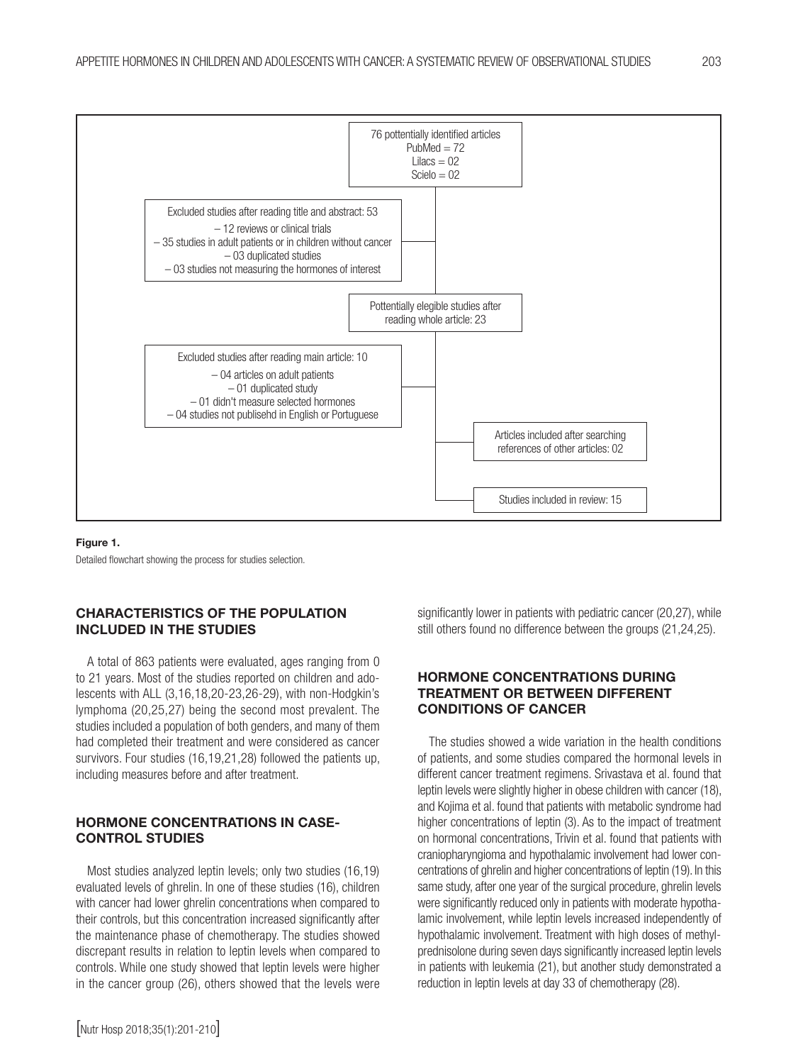

#### Figure 1.

Detailed flowchart showing the process for studies selection.

# CHARACTERISTICS OF THE POPULATION INCLUDED IN THE STUDIES

A total of 863 patients were evaluated, ages ranging from 0 to 21 years. Most of the studies reported on children and adolescents with ALL (3,16,18,20-23,26-29), with non-Hodgkin's lymphoma (20,25,27) being the second most prevalent. The studies included a population of both genders, and many of them had completed their treatment and were considered as cancer survivors. Four studies (16,19,21,28) followed the patients up, including measures before and after treatment.

# HORMONE CONCENTRATIONS IN CASE-CONTROL STUDIES

Most studies analyzed leptin levels; only two studies (16,19) evaluated levels of ghrelin. In one of these studies (16), children with cancer had lower ghrelin concentrations when compared to their controls, but this concentration increased significantly after the maintenance phase of chemotherapy. The studies showed discrepant results in relation to leptin levels when compared to controls. While one study showed that leptin levels were higher in the cancer group (26), others showed that the levels were

significantly lower in patients with pediatric cancer (20,27), while still others found no difference between the groups (21,24,25).

# HORMONE CONCENTRATIONS DURING TREATMENT OR BETWEEN DIFFERENT CONDITIONS OF CANCER

The studies showed a wide variation in the health conditions of patients, and some studies compared the hormonal levels in different cancer treatment regimens. Srivastava et al. found that leptin levels were slightly higher in obese children with cancer (18), and Kojima et al. found that patients with metabolic syndrome had higher concentrations of leptin (3). As to the impact of treatment on hormonal concentrations, Trivin et al. found that patients with craniopharyngioma and hypothalamic involvement had lower concentrations of ghrelin and higher concentrations of leptin (19). In this same study, after one year of the surgical procedure, ghrelin levels were significantly reduced only in patients with moderate hypothalamic involvement, while leptin levels increased independently of hypothalamic involvement. Treatment with high doses of methylprednisolone during seven days significantly increased leptin levels in patients with leukemia (21), but another study demonstrated a reduction in leptin levels at day 33 of chemotherapy (28).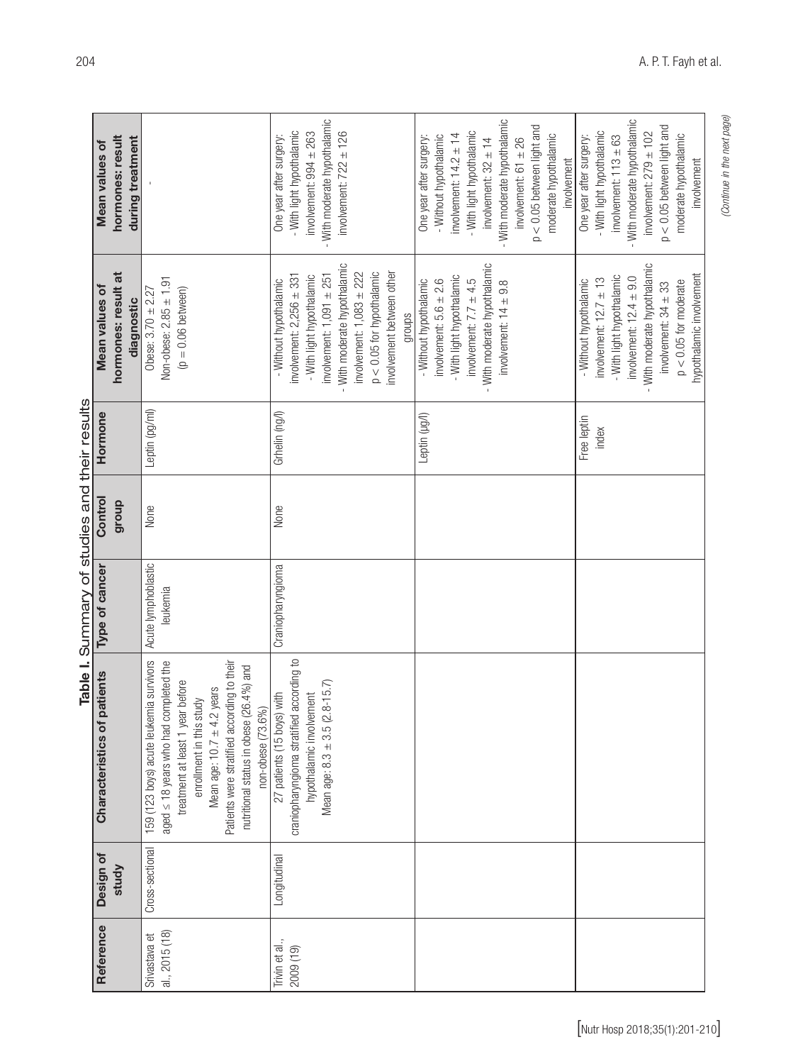|                                |                 |                                                                                                                                                                                                                                                                                                   | Table I. Summary of studies and their results |         |                      |                                                                                                                                                                                                                                                           |                                                                                                                                                                                                                                                                              |
|--------------------------------|-----------------|---------------------------------------------------------------------------------------------------------------------------------------------------------------------------------------------------------------------------------------------------------------------------------------------------|-----------------------------------------------|---------|----------------------|-----------------------------------------------------------------------------------------------------------------------------------------------------------------------------------------------------------------------------------------------------------|------------------------------------------------------------------------------------------------------------------------------------------------------------------------------------------------------------------------------------------------------------------------------|
| Reference                      | Design of       | patients<br>Characteristics of                                                                                                                                                                                                                                                                    | Type of cancer                                | Control | Hormone              | Mean values of                                                                                                                                                                                                                                            | Mean values of                                                                                                                                                                                                                                                               |
|                                | study           |                                                                                                                                                                                                                                                                                                   |                                               | dnoub   |                      | hormones: result at<br>diagnostic                                                                                                                                                                                                                         | hormones: result<br>during treatment                                                                                                                                                                                                                                         |
| al., 2015(18)<br>Srivastava et | Cross-sectional | 159 (123 boys) acute leukemia survivors<br>Patients were stratified according to their<br>aged ≤ 18 years who had completed the<br>nutritional status in obese (26.4%) and<br>treatment at least 1 year before<br>Mean age: 10.7 $\pm$ 4.2 years<br>enrollment in this study<br>non-obese (73.6%) | Acute lymphoblastic<br>leukemia               | None    | Leptin (pg/ml)       | Non-obese: 2.85 ± 1.91<br>$(p = 0.06$ between)<br>Obese: $3.70 \pm 2.27$                                                                                                                                                                                  |                                                                                                                                                                                                                                                                              |
| Trivin et al.,<br>2009 (19)    | Longitudinal    | craniopharyngioma stratified according to<br>Mean age: 8.3 ± 3.5 (2.8-15.7)<br>27 patients (15 boys) with<br>hypothalamic involvement                                                                                                                                                             | Craniopharyngioma                             | None    | Grhelin (ng/l)       | - With moderate hypothalamic<br>involvement between other<br>$p < 0.05$ for hypothalamic<br>involvement: $1,083 \pm 222$<br>involvement: $2,256 \pm 331$<br>involvement: $1,091 \pm 251$<br>- With light hypothalamic<br>- Without hypothalamic<br>groups | - With moderate hypothalamic<br>- With light hypothalamic<br>involvement: $722 \pm 126$<br>involvement: $994 \pm 263$<br>One year after surgery:                                                                                                                             |
|                                |                 |                                                                                                                                                                                                                                                                                                   |                                               |         | Leptin (µg/l)        | - With moderate hypothalamic<br>- With light hypothalamic<br>involvement: $7.7 \pm 4.5$<br>- Without hypothalamic<br>involvement: $5.6 \pm 2.6$<br>involvement: $14 \pm 9.8$                                                                              | - With moderate hypothalamic<br>$p < 0.05$ between light and<br>- With light hypothalamic<br>moderate hypothalamic<br>involvement: $14.2 \pm 14$<br>- Without hypothalamic<br>One year after surgery:<br>involvement: $32 \pm 14$<br>involvement: $61 \pm 26$<br>involvement |
|                                |                 |                                                                                                                                                                                                                                                                                                   |                                               |         | Free leptin<br>index | - With moderate hypothalamic<br>hypothalamic involvement<br>- With light hypothalamic<br>involvement: $12.4 \pm 9.0$<br>involvement: $12.7 \pm 13$<br>- Without hypothalamic<br>$p < 0.05$ for moderate<br>involvement: $34 \pm 33$                       | - With moderate hypothalamic<br>$p < 0.05$ between light and<br>- With light hypothalamic<br>involvement: $279 \pm 102$<br>moderate hypothalamic<br>involvement: $113 \pm 63$<br>One year after surgery:<br>involvement                                                      |

*(Continue in the next page)*

(Continue in the next page)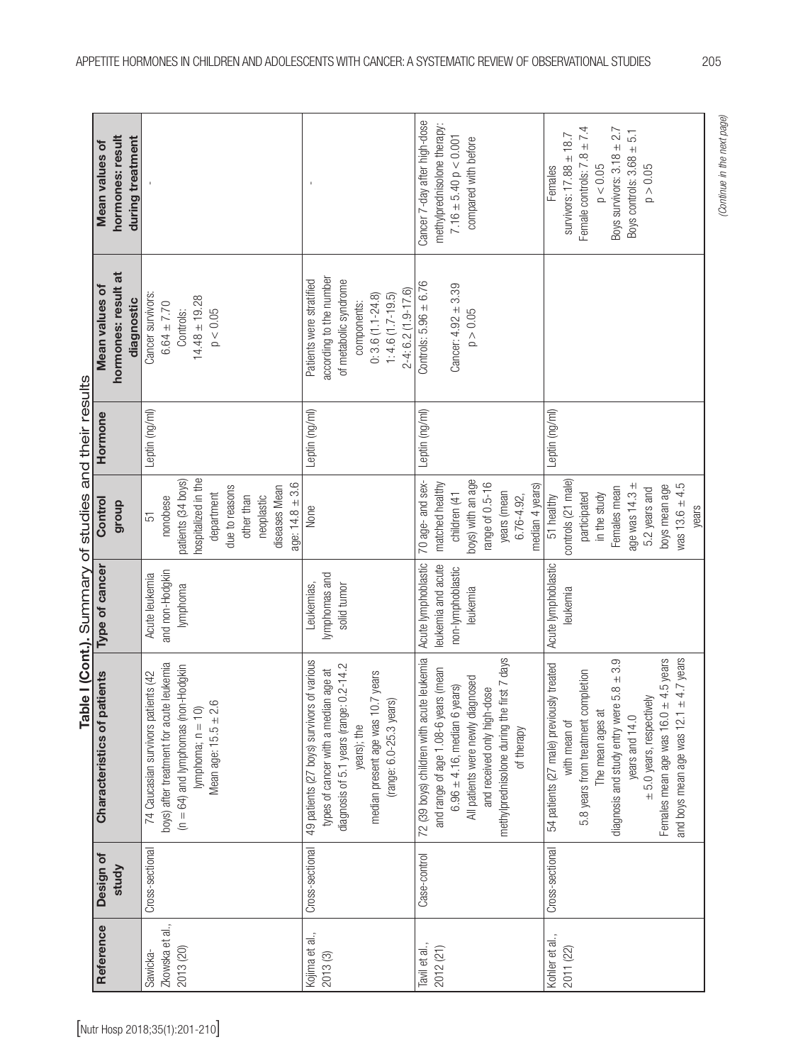| Reference                                | Design of       | Characteristics of patients                                                                                                                                                                                                                                                                                              | Type of cancer                                                            | Control                                                                                                                                                             | Hormone        | Mean values of                                                                                                                                                   | Mean values of                                                                                                                                                        |
|------------------------------------------|-----------------|--------------------------------------------------------------------------------------------------------------------------------------------------------------------------------------------------------------------------------------------------------------------------------------------------------------------------|---------------------------------------------------------------------------|---------------------------------------------------------------------------------------------------------------------------------------------------------------------|----------------|------------------------------------------------------------------------------------------------------------------------------------------------------------------|-----------------------------------------------------------------------------------------------------------------------------------------------------------------------|
|                                          | study           |                                                                                                                                                                                                                                                                                                                          |                                                                           | dnonb                                                                                                                                                               |                | hormones: result at<br>diagnostic                                                                                                                                | hormones: result<br>during treatment                                                                                                                                  |
| Zkowska et al.,<br>2013 (20)<br>Sawicka- | Cross-sectional | boys) after treatment for acute leukemia<br>$(n = 64)$ and lymphomas (non-Hodgkin<br>74 Caucasian survivors patients (42<br>Mean age: $15.5 \pm 2.6$<br>lymphoma; $n = 10$ )                                                                                                                                             | and non-Hodgkin<br>Acute leukemia<br>lymphoma                             | nospitalized in the<br>patients (34 boys)<br>age: $14.8 \pm 3.6$<br>due to reasons<br>diseases Mean<br>department<br>other than<br>neoplastic<br>nonobese<br>51     | Leptin (ng/ml) | Cancer survivors<br>$14.48 \pm 19.28$<br>$6.64 \pm 7.70$<br>Controls:<br>p < 0.05                                                                                |                                                                                                                                                                       |
| Kojima et al.,<br>2013 (3)               | Cross-sectional | 49 patients (27 boys) survivors of various<br>diagnosis of 5.1 years (range: 0.2-14.2<br>types of cancer with a median age at<br>IO.7 years<br>(range: 6.0-25.3 years)<br>median present age was "<br>years); the                                                                                                        | lymphomas and<br>solid tumor<br>Leukemias,                                | None                                                                                                                                                                | Leptin (ng/ml) | according to the number<br>Patients were stratified<br>of metabolic syndrome<br>$2-4: 6.2(1.9-17.6)$<br>$0: 3.6(1.1 - 24.8)$<br>$1:4.6(1.7-19.5)$<br>components: |                                                                                                                                                                       |
| Tavil et al.,<br>2012 (21)               | Case-control    | 72 (39 boys) children with acute leukemia<br>methylprednisolone during the first 7 days<br>and range of age 1.08-6 years (mean<br>All patients were newly diagnosed<br>$6.96 \pm 4.16$ , median 6 years)<br>and received only high-dose<br>of therapy                                                                    | Acute lymphoblastic<br>eukemia and acute<br>non-lymphoblastic<br>leukemia | boys) with an age<br>70 age- and sex-<br>matched healthy<br>range of 0.5-16<br>median 4 years)<br>years (mean<br>children (41<br>$6.76 - 4.92$                      | Leptin (ng/ml) | Controls: $5.96 \pm 6.76$<br>$Cancer: 4.92 + 3.39$<br>p > 0.05                                                                                                   | Cancer 7-day after high-dose<br>methylprednisolone therapy:<br>$7.16 \pm 5.40 p < 0.001$<br>compared with before                                                      |
| Kohler et al.,<br>2011 (22)              | Cross-sectional | $\pm$ 4.7 years<br>diagnosis and study entry were $5.8 \pm 3.9$<br>$\pm$ 4.5 years<br>54 patients (27 male) previously treated<br>5.8 years from treatment completion<br>$\pm$ 5.0 years, respectively<br>The mean ages are<br>years and 14.0<br>Females mean age was 16.0<br>and boys mean age was 12.1<br>with mean of | Acute lymphoblastic<br>leukemia                                           | controls (21 male)<br>age was 14.3 ±<br>$was 13.6 \pm 4.5$<br>boys mean age<br>Females mean<br>5.2 years and<br>participated<br>in the study<br>51 healthy<br>years | Leptin (ng/ml) |                                                                                                                                                                  | Female controls: $7.8 \pm 7.4$<br>Boys survivors: $3.18 \pm 2.7$<br>Boys controls: $3.68 \pm 5.1$<br>survivors: $17.88 \pm 18.7$<br>$p < 0.05$<br>p > 0.05<br>Females |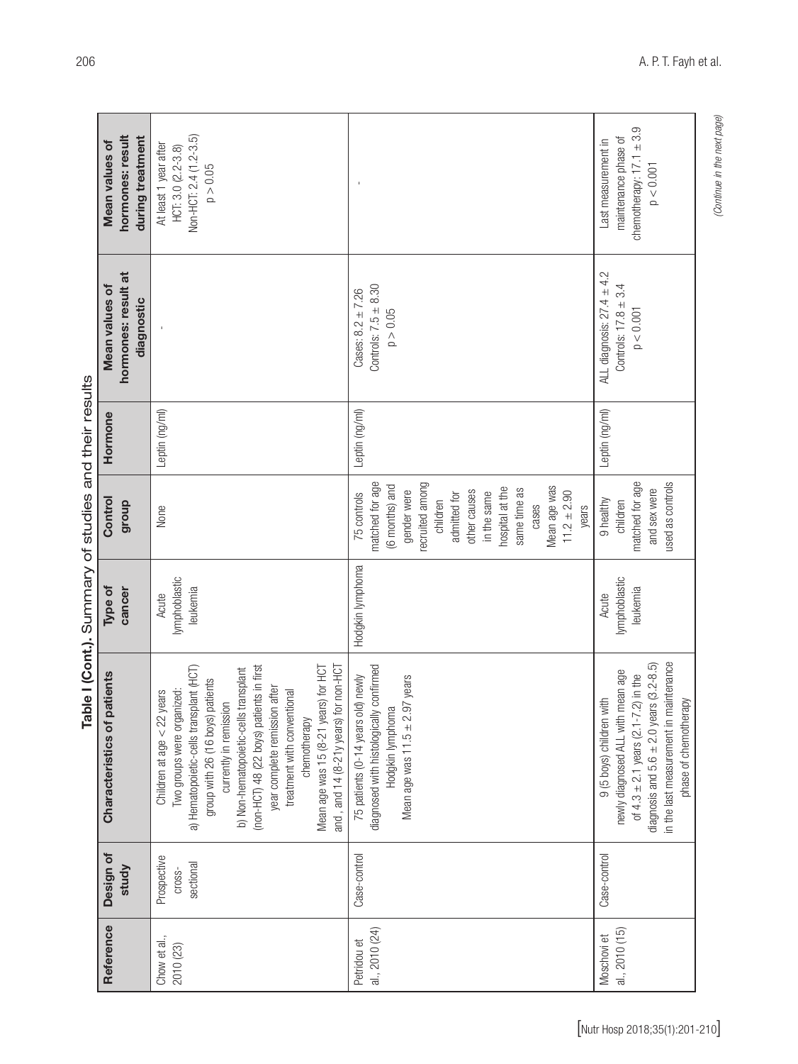| hormones: result<br>during treatment<br>Mean values of | Non-HCT: 2.4 (1.2-3.5)<br>At least 1 year after<br>HCT: 3.0 (2.2-3.8)<br>p > 0.05                                                                                                                                                                                                                                                                                                                                                      |                                                                                                                                                                                                                                       | chemotherapy: $17.1 \pm 3.9$<br>maintenance phase of<br>Last measurement in<br>$p < 0.001$                                                                                                                                               |
|--------------------------------------------------------|----------------------------------------------------------------------------------------------------------------------------------------------------------------------------------------------------------------------------------------------------------------------------------------------------------------------------------------------------------------------------------------------------------------------------------------|---------------------------------------------------------------------------------------------------------------------------------------------------------------------------------------------------------------------------------------|------------------------------------------------------------------------------------------------------------------------------------------------------------------------------------------------------------------------------------------|
| hormones: result at<br>Mean values of<br>diagnostic    |                                                                                                                                                                                                                                                                                                                                                                                                                                        | Controls: $7.5 \pm 8.30$<br>Cases: $8.2 \pm 7.26$<br>p > 0.05                                                                                                                                                                         | ALL diagnosis: $27.4 \pm 4.2$<br>Controls: $17.8 \pm 3.4$<br>p < 0.001                                                                                                                                                                   |
| Hormone                                                | Leptin (ng/ml)                                                                                                                                                                                                                                                                                                                                                                                                                         | Leptin (ng/ml)                                                                                                                                                                                                                        | Leptin (ng/ml)                                                                                                                                                                                                                           |
| Control<br>dioub                                       | None                                                                                                                                                                                                                                                                                                                                                                                                                                   | matched for age<br>recruited among<br>(6 months) and<br>Mean age was<br>hospital at the<br>same time as<br>gender were<br>other causes<br>$11.2 \pm 2.90$<br>in the same<br>75 controls<br>admitted for<br>children<br>cases<br>years | matched for age<br>used as controls<br>and sex were<br>9 healthy<br>children                                                                                                                                                             |
| cancer<br>Type of                                      | lymphoblastic<br>leukemia<br>Acute                                                                                                                                                                                                                                                                                                                                                                                                     | Hodgkin lymphoma                                                                                                                                                                                                                      | lymphoblastic<br>leukemia<br>Acute                                                                                                                                                                                                       |
| patients<br>Characteristics of                         | (non-HCT) 48 (22 boys) patients in first<br>a) Hematopoietic-cells transplant (HCT)<br>Mean age was 15 (8-21 years) for HCT<br>for non-HCT<br>b) Non-hematopoietic-cells transplant<br>patients<br>year complete remission after<br>Two groups were organized:<br>treatment with conventional<br>years<br>currently in remission<br>Children at age $<$ 22<br>group with 26 (16 boys)<br>chemotherapy<br>and, and $14$ $(8-21)$ years) | diagnosed with histologically confirmed<br>old) newly<br>Mean age was $11.5 \pm 2.97$ years<br>Hodgkin lymphoma<br>75 patients (0-14 years                                                                                            | maintenance<br>diagnosis and $5.6 \pm 2.0$ years $(3.2 - 8.5)$<br>newly diagnosed ALL with mean age<br>of $4.3 \pm 2.1$ years $(2.1 - 7.2)$ in the<br>with<br>phase of chemotherapy<br>9 (5 boys) children<br>in the last measurement in |
| Design of<br>study                                     | Prospective<br>sectional<br>Cross-                                                                                                                                                                                                                                                                                                                                                                                                     | Case-control                                                                                                                                                                                                                          | Case-control                                                                                                                                                                                                                             |
| Reference                                              | Chow et al.,<br>2010 (23)                                                                                                                                                                                                                                                                                                                                                                                                              | al., 2010 (24)<br>Petridou et                                                                                                                                                                                                         | al., 2010 (15)<br>Moschovi et                                                                                                                                                                                                            |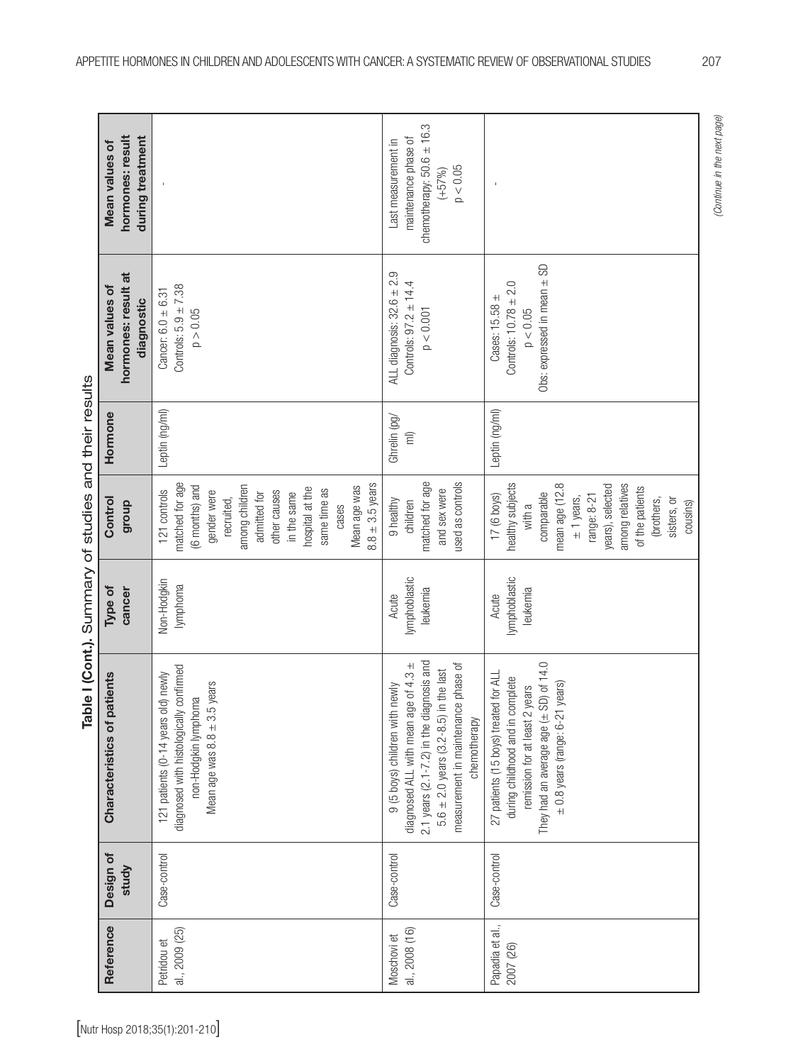| Obs: expressed in mean $\pm$ SD<br>ALL diagnosis: $32.6 \pm 2.9$<br>hormones: result at<br>Controls: $97.2 \pm 14.4$<br>Controls: $10.78 \pm 2.0$<br>Controls: $5.9 \pm 7.38$<br>Mean values of<br>$Cancer: 6.0 \pm 6.31$<br>Cases: 15.58 ±<br>diagnostic<br>p < 0.001<br>$p < 0.05$<br>p > 0.05<br>Leptin (ng/ml)<br>Leptin (ng/ml)<br>Hormone<br>Ghrelin (pg/<br>$\widehat{\overline{\Xi}}$<br>matched for age<br>matched for age<br>used as controls<br>healthy subjects<br>mean age (12.8<br>$8.8 \pm 3.5$ years<br>among relatives<br>(6 months) and<br>years), selected<br>among children<br>Mean age was<br>hospital at the<br>of the patients<br>same time as<br>and sex were<br>121 controls<br>gender were<br>other causes<br>in the same<br>admitted for<br>comparable<br>17 (6 boys)<br>range: 8-21<br>$\pm$ 1 years,<br>recruited,<br>(brothers,<br>sisters, or<br>Control<br>9 healthy<br>children<br>group<br>cases<br>with a<br>lymphoblastic<br>lymphoblastic<br>Non-Hodgkin<br>lymphoma<br>cancer<br>leukemia<br>leukemia<br>Type of<br>Acute<br>Acute<br>2.1 years $(2.1 - 7.2)$ in the diagnosis and<br>They had an average age $(\pm$ SD) of 14.0<br>diagnosed ALL with mean age of 4.3 ±<br>measurement in maintenance phase of<br>diagnosed with histologically confirmed<br>$5.6 \pm 2.0$ years (3.2-8.5) in the last<br>27 patients (15 boys) treated for ALL<br>old) newly<br>Characteristics of patients<br>during childhood and in complete<br>Mean age was $8.8 \pm 3.5$ years<br>$\pm$ 0.8 years (range: 6-21 years)<br>9 (5 boys) children with newly<br>remission for at least 2 years<br>non-Hodgkin lymphoma<br>121 patients (0-14 years<br>chemotherapy<br>Case-control<br>Design of<br>Case-control<br>Case-control<br>study<br>Papadia et al.,<br>Reference<br>al., 2009 (25)<br>al., 2008 (16)<br>Moschovi et<br>Petridou et<br>2007 (26)<br>[Nutr Hosp 2018;35(1):201-210] |  | Table I (Cont.). Summary of studies and their results |          |  |                                                                                                      |
|-------------------------------------------------------------------------------------------------------------------------------------------------------------------------------------------------------------------------------------------------------------------------------------------------------------------------------------------------------------------------------------------------------------------------------------------------------------------------------------------------------------------------------------------------------------------------------------------------------------------------------------------------------------------------------------------------------------------------------------------------------------------------------------------------------------------------------------------------------------------------------------------------------------------------------------------------------------------------------------------------------------------------------------------------------------------------------------------------------------------------------------------------------------------------------------------------------------------------------------------------------------------------------------------------------------------------------------------------------------------------------------------------------------------------------------------------------------------------------------------------------------------------------------------------------------------------------------------------------------------------------------------------------------------------------------------------------------------------------------------------------------------------------------------------------------------------------------------------------------------------------------------------------------------|--|-------------------------------------------------------|----------|--|------------------------------------------------------------------------------------------------------|
|                                                                                                                                                                                                                                                                                                                                                                                                                                                                                                                                                                                                                                                                                                                                                                                                                                                                                                                                                                                                                                                                                                                                                                                                                                                                                                                                                                                                                                                                                                                                                                                                                                                                                                                                                                                                                                                                                                                   |  |                                                       |          |  | hormones: result<br>during treatment<br>Mean values of                                               |
|                                                                                                                                                                                                                                                                                                                                                                                                                                                                                                                                                                                                                                                                                                                                                                                                                                                                                                                                                                                                                                                                                                                                                                                                                                                                                                                                                                                                                                                                                                                                                                                                                                                                                                                                                                                                                                                                                                                   |  |                                                       |          |  |                                                                                                      |
|                                                                                                                                                                                                                                                                                                                                                                                                                                                                                                                                                                                                                                                                                                                                                                                                                                                                                                                                                                                                                                                                                                                                                                                                                                                                                                                                                                                                                                                                                                                                                                                                                                                                                                                                                                                                                                                                                                                   |  |                                                       |          |  | chemotherapy: $50.6 \pm 16.3$<br>maintenance phase of<br>Last measurement in<br>p < 0.05<br>$(+57%)$ |
|                                                                                                                                                                                                                                                                                                                                                                                                                                                                                                                                                                                                                                                                                                                                                                                                                                                                                                                                                                                                                                                                                                                                                                                                                                                                                                                                                                                                                                                                                                                                                                                                                                                                                                                                                                                                                                                                                                                   |  |                                                       | cousins) |  |                                                                                                      |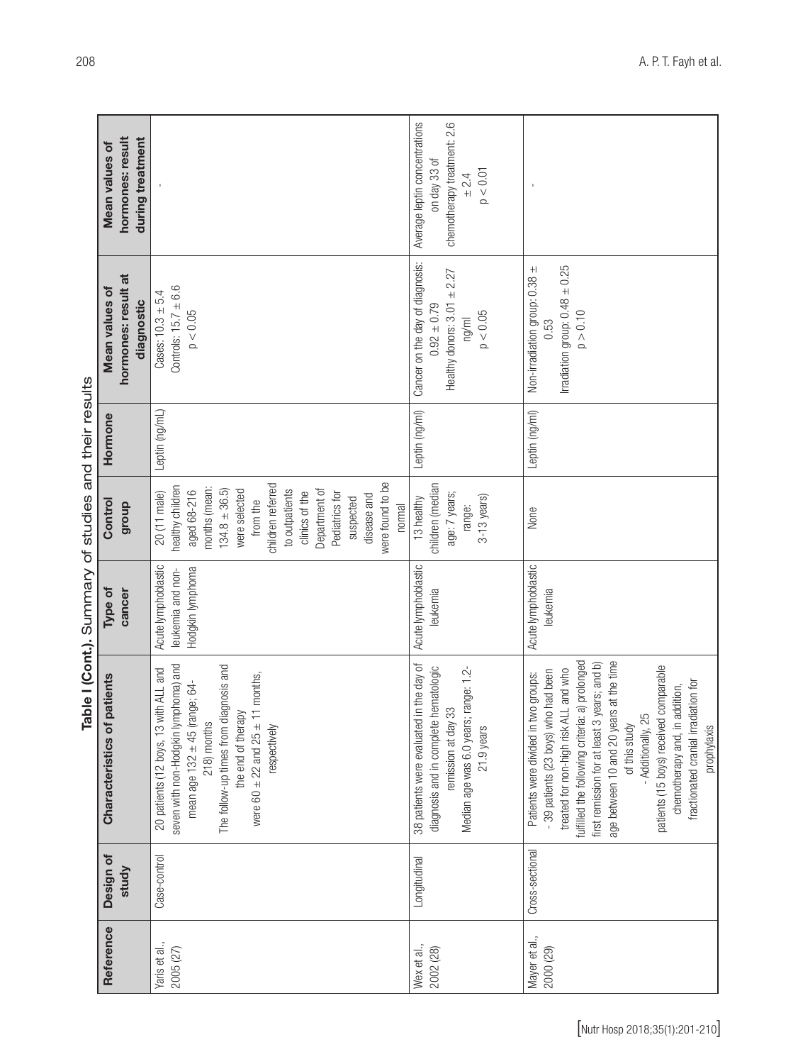|                                                       | hormones: result<br>during treatment<br>Mean values of |                                                                                                                                                                                                                                                                         | Average leptin concentrations<br>chemotherapy treatment: 2.6<br>on day 33 of<br>$p < 0.01$<br>± 2.4                                                                   |                                                                                                                                                                                                                                                                                                                                                                                                                                              |
|-------------------------------------------------------|--------------------------------------------------------|-------------------------------------------------------------------------------------------------------------------------------------------------------------------------------------------------------------------------------------------------------------------------|-----------------------------------------------------------------------------------------------------------------------------------------------------------------------|----------------------------------------------------------------------------------------------------------------------------------------------------------------------------------------------------------------------------------------------------------------------------------------------------------------------------------------------------------------------------------------------------------------------------------------------|
|                                                       | hormones: result at<br>Mean values of<br>diagnostic    | Controls: $15.7 \pm 6.6$<br>$Case: 10.3 \pm 5.4$<br>$p < 0.05$                                                                                                                                                                                                          | Cancer on the day of diagnosis:<br>Healthy donors: $3.01 \pm 2.27$<br>$0.92 \pm 0.79$<br>p < 0.05<br>ng/ml                                                            | Irradiation group: $0.48 \pm 0.25$<br>Non-irradiation group: 0.38 ±<br>p > 0.10<br>0.53                                                                                                                                                                                                                                                                                                                                                      |
|                                                       | Hormone                                                | Leptin (ng/mL)                                                                                                                                                                                                                                                          | Leptin (ng/ml)                                                                                                                                                        | Leptin (ng/ml)                                                                                                                                                                                                                                                                                                                                                                                                                               |
| Table I (Cont.). Summary of studies and their results | Control<br>dhoub                                       | were found to be<br>children referred<br>healthy children<br>months (mean:<br>Department of<br>$134.8 \pm 36.5$<br>were selected<br>aged 68-216<br>to outpatients<br>clinics of the<br>20 (11 male)<br>Pediatrics for<br>disease and<br>suspected<br>from the<br>normal | children (median<br>age: 7 years;<br>$3-13$ years)<br>13 healthy<br>range:                                                                                            | None                                                                                                                                                                                                                                                                                                                                                                                                                                         |
|                                                       | cancer<br>Type of                                      | Acute lymphoblastic<br>Hodgkin lymphoma<br>leukemia and non-                                                                                                                                                                                                            | Acute lymphoblastic<br>leukemia                                                                                                                                       | Acute lymphoblastic<br>leukemia                                                                                                                                                                                                                                                                                                                                                                                                              |
|                                                       | patients<br>Characteristics of                         | seven with non-Hodgkin lymphoma) and<br>The follow-up times from diagnosis and<br>20 patients (12 boys, 13 with ALL and<br>11 months,<br>mean age $132 \pm 45$ (range; 64-<br>the end of therapy<br>218) months<br>were 60 $\pm$ 22 and 25 $\pm$<br>respectively        | in the day of<br>diagnosis and in complete hematologic<br>Median age was 6.0 years; range: 1.2-<br>33<br>38 patients were evaluated<br>remission at day<br>21.9 years | fulfilled the following criteria: a) prolonged<br>age between 10 and 20 years at the time<br>first remission for at least 3 years; and b)<br>patients (15 boys) received comparable<br>treated for non-high risk ALL and who<br>- 39 patients (23 boys) who had been<br>Patients were divided in two groups:<br>fractionated cranial irradiation for<br>chemotherapy and, in addition,<br>- Additionally, 25<br>of this study<br>prophylaxis |
|                                                       | Design of<br>study                                     | Case-control                                                                                                                                                                                                                                                            | Longitudinal                                                                                                                                                          | Cross-sectional                                                                                                                                                                                                                                                                                                                                                                                                                              |
|                                                       | Reference                                              | Yaris et al.,<br>2005 (27)                                                                                                                                                                                                                                              | Wex et al.,<br>2002 (28)                                                                                                                                              | Mayer et al.,<br>2000 (29)                                                                                                                                                                                                                                                                                                                                                                                                                   |
|                                                       |                                                        |                                                                                                                                                                                                                                                                         |                                                                                                                                                                       | [Nutr Hosp 2018;35(1):201-210]                                                                                                                                                                                                                                                                                                                                                                                                               |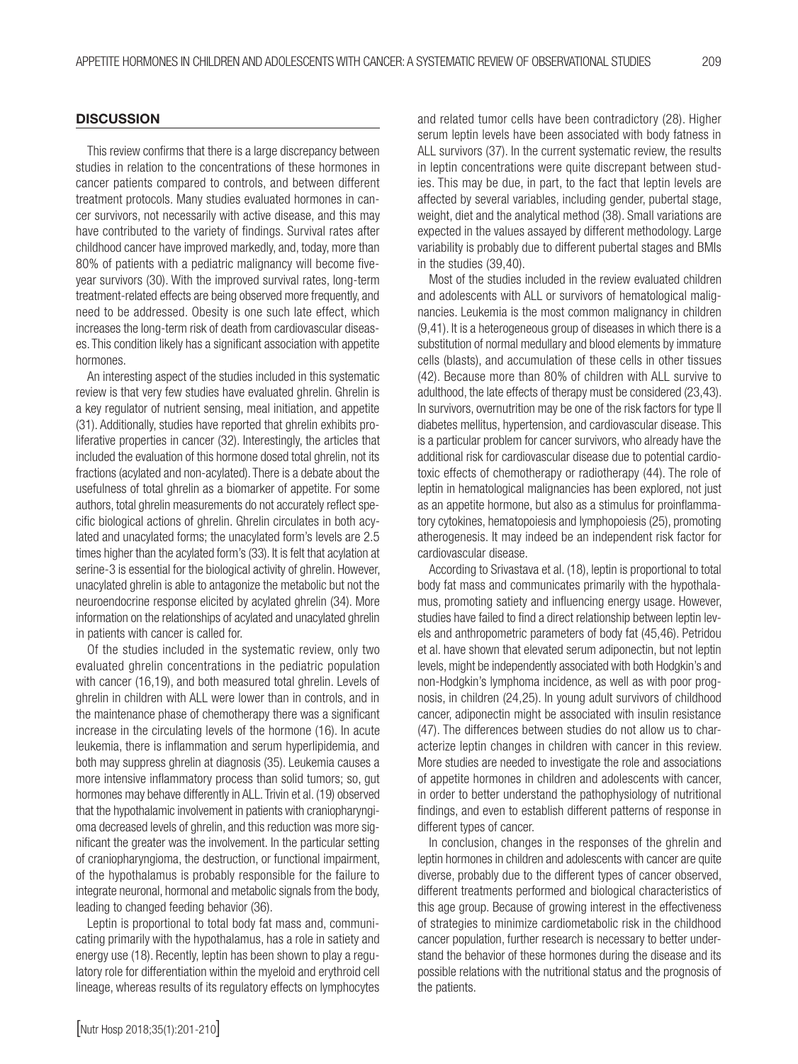### **DISCUSSION**

This review confirms that there is a large discrepancy between studies in relation to the concentrations of these hormones in cancer patients compared to controls, and between different treatment protocols. Many studies evaluated hormones in cancer survivors, not necessarily with active disease, and this may have contributed to the variety of findings. Survival rates after childhood cancer have improved markedly, and, today, more than 80% of patients with a pediatric malignancy will become fiveyear survivors (30). With the improved survival rates, long-term treatment-related effects are being observed more frequently, and need to be addressed. Obesity is one such late effect, which increases the long-term risk of death from cardiovascular diseases. This condition likely has a significant association with appetite hormones.

An interesting aspect of the studies included in this systematic review is that very few studies have evaluated ghrelin. Ghrelin is a key regulator of nutrient sensing, meal initiation, and appetite (31). Additionally, studies have reported that ghrelin exhibits proliferative properties in cancer (32). Interestingly, the articles that included the evaluation of this hormone dosed total ghrelin, not its fractions (acylated and non-acylated). There is a debate about the usefulness of total ghrelin as a biomarker of appetite. For some authors, total ghrelin measurements do not accurately reflect specific biological actions of ghrelin. Ghrelin circulates in both acylated and unacylated forms; the unacylated form's levels are 2.5 times higher than the acylated form's (33). It is felt that acylation at serine-3 is essential for the biological activity of ghrelin. However, unacylated ghrelin is able to antagonize the metabolic but not the neuroendocrine response elicited by acylated ghrelin (34). More information on the relationships of acylated and unacylated ghrelin in patients with cancer is called for.

Of the studies included in the systematic review, only two evaluated ghrelin concentrations in the pediatric population with cancer (16,19), and both measured total ghrelin. Levels of ghrelin in children with ALL were lower than in controls, and in the maintenance phase of chemotherapy there was a significant increase in the circulating levels of the hormone (16). In acute leukemia, there is inflammation and serum hyperlipidemia, and both may suppress ghrelin at diagnosis (35). Leukemia causes a more intensive inflammatory process than solid tumors; so, gut hormones may behave differently in ALL. Trivin et al. (19) observed that the hypothalamic involvement in patients with craniopharyngioma decreased levels of ghrelin, and this reduction was more significant the greater was the involvement. In the particular setting of craniopharyngioma, the destruction, or functional impairment, of the hypothalamus is probably responsible for the failure to integrate neuronal, hormonal and metabolic signals from the body, leading to changed feeding behavior (36).

Leptin is proportional to total body fat mass and, communicating primarily with the hypothalamus, has a role in satiety and energy use (18). Recently, leptin has been shown to play a regulatory role for differentiation within the myeloid and erythroid cell lineage, whereas results of its regulatory effects on lymphocytes

and related tumor cells have been contradictory (28). Higher serum leptin levels have been associated with body fatness in ALL survivors (37). In the current systematic review, the results in leptin concentrations were quite discrepant between studies. This may be due, in part, to the fact that leptin levels are affected by several variables, including gender, pubertal stage, weight, diet and the analytical method (38). Small variations are expected in the values assayed by different methodology. Large variability is probably due to different pubertal stages and BMIs in the studies (39,40).

Most of the studies included in the review evaluated children and adolescents with ALL or survivors of hematological malignancies. Leukemia is the most common malignancy in children (9,41). It is a heterogeneous group of diseases in which there is a substitution of normal medullary and blood elements by immature cells (blasts), and accumulation of these cells in other tissues (42). Because more than 80% of children with ALL survive to adulthood, the late effects of therapy must be considered (23,43). In survivors, overnutrition may be one of the risk factors for type II diabetes mellitus, hypertension, and cardiovascular disease. This is a particular problem for cancer survivors, who already have the additional risk for cardiovascular disease due to potential cardiotoxic effects of chemotherapy or radiotherapy (44). The role of leptin in hematological malignancies has been explored, not just as an appetite hormone, but also as a stimulus for proinflammatory cytokines, hematopoiesis and lymphopoiesis (25), promoting atherogenesis. It may indeed be an independent risk factor for cardiovascular disease.

According to Srivastava et al. (18), leptin is proportional to total body fat mass and communicates primarily with the hypothalamus, promoting satiety and influencing energy usage. However, studies have failed to find a direct relationship between leptin levels and anthropometric parameters of body fat (45,46). Petridou et al. have shown that elevated serum adiponectin, but not leptin levels, might be independently associated with both Hodgkin's and non-Hodgkin's lymphoma incidence, as well as with poor prognosis, in children (24,25). In young adult survivors of childhood cancer, adiponectin might be associated with insulin resistance (47). The differences between studies do not allow us to characterize leptin changes in children with cancer in this review. More studies are needed to investigate the role and associations of appetite hormones in children and adolescents with cancer, in order to better understand the pathophysiology of nutritional findings, and even to establish different patterns of response in different types of cancer.

In conclusion, changes in the responses of the ghrelin and leptin hormones in children and adolescents with cancer are quite diverse, probably due to the different types of cancer observed, different treatments performed and biological characteristics of this age group. Because of growing interest in the effectiveness of strategies to minimize cardiometabolic risk in the childhood cancer population, further research is necessary to better understand the behavior of these hormones during the disease and its possible relations with the nutritional status and the prognosis of the patients.